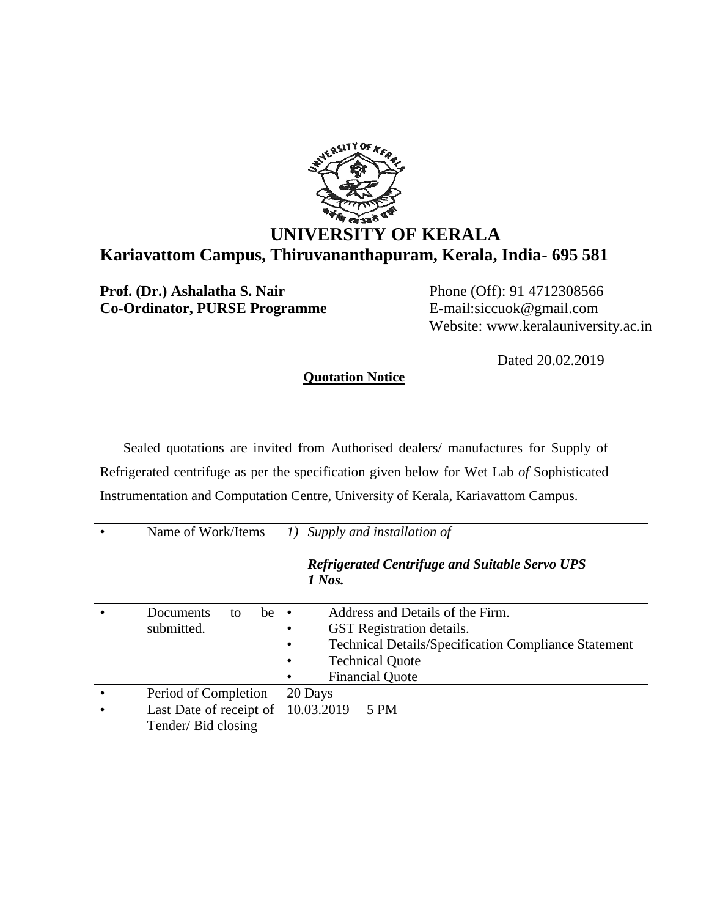

## **UNIVERSITY OF KERALA Kariavattom Campus, Thiruvananthapuram, Kerala, India- 695 581**

**Prof. (Dr.) Ashalatha S. Nair** Phone (Off): 91 4712308566 **Co-Ordinator, PURSE Programme** E-mail:siccuok@gmail.com

Website: www.keralauniversity.ac.in

Dated 20.02.2019

## **Quotation Notice**

Sealed quotations are invited from Authorised dealers/ manufactures for Supply of Refrigerated centrifuge as per the specification given below for Wet Lab *of* Sophisticated Instrumentation and Computation Centre, University of Kerala, Kariavattom Campus.

| Name of Work/Items      | Supply and installation of<br>I)                                         |
|-------------------------|--------------------------------------------------------------------------|
|                         | <b>Refrigerated Centrifuge and Suitable Servo UPS</b><br>$1$ Nos.        |
| Documents<br>be<br>to   | Address and Details of the Firm.                                         |
| submitted.              | <b>GST</b> Registration details.                                         |
|                         | <b>Technical Details/Specification Compliance Statement</b><br>$\bullet$ |
|                         | <b>Technical Quote</b><br>$\bullet$                                      |
|                         | <b>Financial Quote</b><br>٠                                              |
| Period of Completion    | 20 Days                                                                  |
| Last Date of receipt of | 10.03.2019<br>5 PM                                                       |
| Tender/Bid closing      |                                                                          |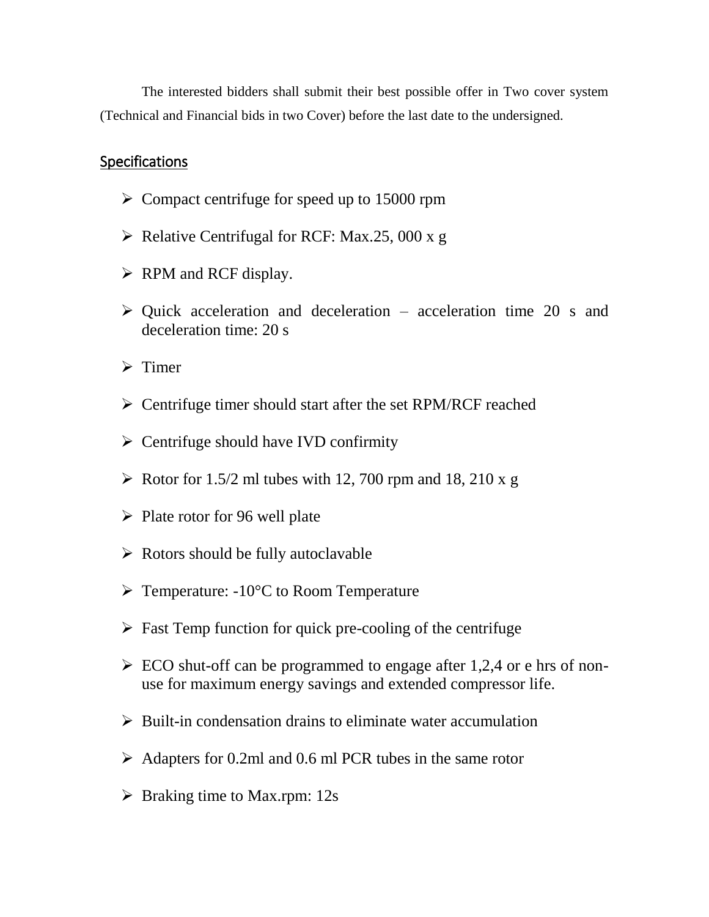The interested bidders shall submit their best possible offer in Two cover system (Technical and Financial bids in two Cover) before the last date to the undersigned.

## Specifications

- ➢ Compact centrifuge for speed up to 15000 rpm
- $\triangleright$  Relative Centrifugal for RCF: Max.25, 000 x g
- $\triangleright$  RPM and RCF display.
- $\triangleright$  Quick acceleration and deceleration acceleration time 20 s and deceleration time: 20 s
- ➢ Timer
- ➢ Centrifuge timer should start after the set RPM/RCF reached
- $\triangleright$  Centrifuge should have IVD confirmity
- $\triangleright$  Rotor for 1.5/2 ml tubes with 12, 700 rpm and 18, 210 x g
- $\triangleright$  Plate rotor for 96 well plate
- $\triangleright$  Rotors should be fully autoclavable
- $\triangleright$  Temperature: -10<sup>o</sup>C to Room Temperature
- $\triangleright$  Fast Temp function for quick pre-cooling of the centrifuge
- $\triangleright$  ECO shut-off can be programmed to engage after 1,2,4 or e hrs of nonuse for maximum energy savings and extended compressor life.
- $\triangleright$  Built-in condensation drains to eliminate water accumulation
- $\geq$  Adapters for 0.2ml and 0.6 ml PCR tubes in the same rotor
- $\triangleright$  Braking time to Max.rpm: 12s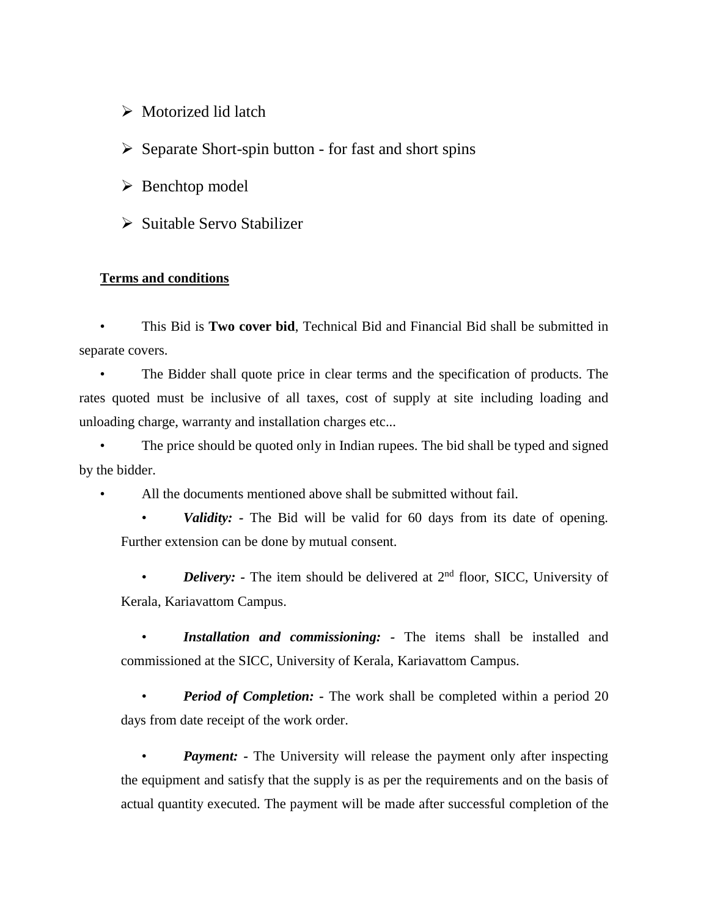- ➢ Motorized lid latch
- ➢ Separate Short-spin button for fast and short spins
- ➢ Benchtop model
- ➢ Suitable Servo Stabilizer

## **Terms and conditions**

• This Bid is **Two cover bid**, Technical Bid and Financial Bid shall be submitted in separate covers.

• The Bidder shall quote price in clear terms and the specification of products. The rates quoted must be inclusive of all taxes, cost of supply at site including loading and unloading charge, warranty and installation charges etc...

The price should be quoted only in Indian rupees. The bid shall be typed and signed by the bidder.

All the documents mentioned above shall be submitted without fail.

• *Validity: -* The Bid will be valid for 60 days from its date of opening. Further extension can be done by mutual consent.

• *Delivery:* - The item should be delivered at 2<sup>nd</sup> floor, SICC, University of Kerala, Kariavattom Campus.

• *Installation and commissioning: -* The items shall be installed and commissioned at the SICC, University of Kerala, Kariavattom Campus.

*Period of Completion:* - The work shall be completed within a period 20 days from date receipt of the work order.

*Payment:* - The University will release the payment only after inspecting the equipment and satisfy that the supply is as per the requirements and on the basis of actual quantity executed. The payment will be made after successful completion of the